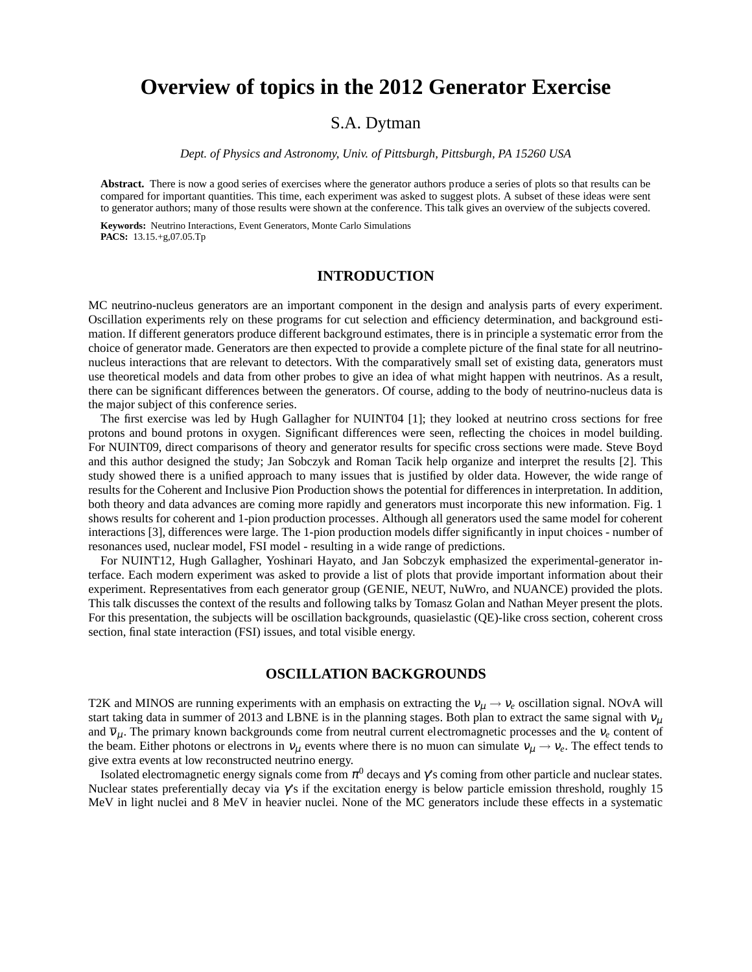# **Overview of topics in the 2012 Generator Exercise**

## S.A. Dytman

*Dept. of Physics and Astronomy, Univ. of Pittsburgh, Pittsburgh, PA 15260 USA*

**Abstract.** There is now a good series of exercises where the generator authors produce a series of plots so that results can be compared for important quantities. This time, each experiment was asked to suggest plots. A subset of these ideas were sent to generator authors; many of those results were shown at the conference. This talk gives an overview of the subjects covered.

**Keywords:** Neutrino Interactions, Event Generators, Monte Carlo Simulations **PACS:** 13.15.+g,07.05.Tp

### **INTRODUCTION**

MC neutrino-nucleus generators are an important component in the design and analysis parts of every experiment. Oscillation experiments rely on these programs for cut selection and efficiency determination, and background estimation. If different generators produce different background estimates, there is in principle a systematic error from the choice of generator made. Generators are then expected to provide a complete picture of the final state for all neutrinonucleus interactions that are relevant to detectors. With the comparatively small set of existing data, generators must use theoretical models and data from other probes to give an idea of what might happen with neutrinos. As a result, there can be significant differences between the generators. Of course, adding to the body of neutrino-nucleus data is the major subject of this conference series.

The first exercise was led by Hugh Gallagher for NUINT04 [1]; they looked at neutrino cross sections for free protons and bound protons in oxygen. Significant differences were seen, reflecting the choices in model building. For NUINT09, direct comparisons of theory and generator results for specific cross sections were made. Steve Boyd and this author designed the study; Jan Sobczyk and Roman Tacik help organize and interpret the results [2]. This study showed there is a unified approach to many issues that is justified by older data. However, the wide range of results for the Coherent and Inclusive Pion Production shows the potential for differences in interpretation. In addition, both theory and data advances are coming more rapidly and generators must incorporate this new information. Fig. 1 shows results for coherent and 1-pion production processes. Although all generators used the same model for coherent interactions [3], differences were large. The 1-pion production models differ significantly in input choices - number of resonances used, nuclear model, FSI model - resulting in a wide range of predictions.

For NUINT12, Hugh Gallagher, Yoshinari Hayato, and Jan Sobczyk emphasized the experimental-generator interface. Each modern experiment was asked to provide a list of plots that provide important information about their experiment. Representatives from each generator group (GENIE, NEUT, NuWro, and NUANCE) provided the plots. This talk discusses the context of the results and following talks by Tomasz Golan and Nathan Meyer present the plots. For this presentation, the subjects will be oscillation backgrounds, quasielastic (QE)-like cross section, coherent cross section, final state interaction (FSI) issues, and total visible energy.

#### **OSCILLATION BACKGROUNDS**

T2K and MINOS are running experiments with an emphasis on extracting the  $v_\mu \to v_e$  oscillation signal. NOvA will start taking data in summer of 2013 and LBNE is in the planning stages. Both plan to extract the same signal with  $v_\mu$ and  $\overline{v}_\mu$ . The primary known backgrounds come from neutral current electromagnetic processes and the  $v_e$  content of the beam. Either photons or electrons in  $v_\mu$  events where there is no muon can simulate  $v_\mu \to v_e$ . The effect tends to give extra events at low reconstructed neutrino energy.

Isolated electromagnetic energy signals come from  $\pi^0$  decays and  $\gamma$ 's coming from other particle and nuclear states. Nuclear states preferentially decay via  $\gamma$ 's if the excitation energy is below particle emission threshold, roughly 15 MeV in light nuclei and 8 MeV in heavier nuclei. None of the MC generators include these effects in a systematic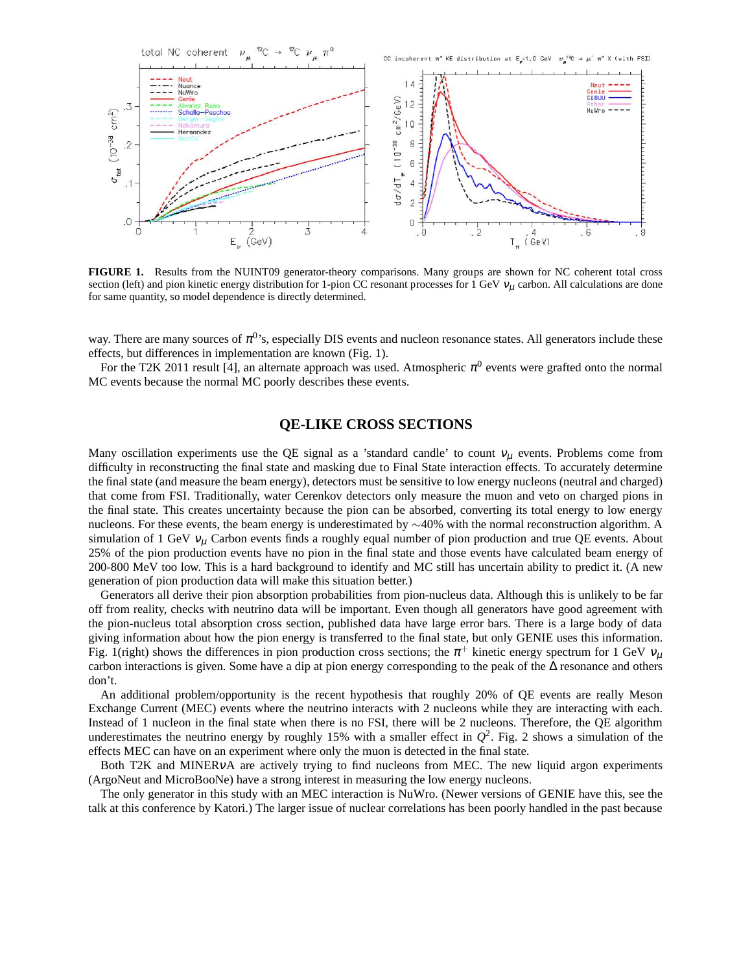

**FIGURE 1.** Results from the NUINT09 generator-theory comparisons. Many groups are shown for NC coherent total cross section (left) and pion kinetic energy distribution for 1-pion CC resonant processes for 1 GeV  $v_\mu$  carbon. All calculations are done for same quantity, so model dependence is directly determined.

way. There are many sources of  $\pi^0$ 's, especially DIS events and nucleon resonance states. All generators include these effects, but differences in implementation are known (Fig. 1).

For the T2K 2011 result [4], an alternate approach was used. Atmospheric  $\pi^0$  events were grafted onto the normal MC events because the normal MC poorly describes these events.

## **QE-LIKE CROSS SECTIONS**

Many oscillation experiments use the QE signal as a 'standard candle' to count  $v_\mu$  events. Problems come from difficulty in reconstructing the final state and masking due to Final State interaction effects. To accurately determine the final state (and measure the beam energy), detectors must be sensitive to low energy nucleons (neutral and charged) that come from FSI. Traditionally, water Cerenkov detectors only measure the muon and veto on charged pions in the final state. This creates uncertainty because the pion can be absorbed, converting its total energy to low energy nucleons. For these events, the beam energy is underestimated by ∼40% with the normal reconstruction algorithm. A simulation of 1 GeV  $v_\mu$  Carbon events finds a roughly equal number of pion production and true QE events. About 25% of the pion production events have no pion in the final state and those events have calculated beam energy of 200-800 MeV too low. This is a hard background to identify and MC still has uncertain ability to predict it. (A new generation of pion production data will make this situation better.)

Generators all derive their pion absorption probabilities from pion-nucleus data. Although this is unlikely to be far off from reality, checks with neutrino data will be important. Even though all generators have good agreement with the pion-nucleus total absorption cross section, published data have large error bars. There is a large body of data giving information about how the pion energy is transferred to the final state, but only GENIE uses this information. Fig. 1(right) shows the differences in pion production cross sections; the  $\pi^+$  kinetic energy spectrum for 1 GeV  $v_\mu$ carbon interactions is given. Some have a dip at pion energy corresponding to the peak of the ∆ resonance and others don't.

An additional problem/opportunity is the recent hypothesis that roughly 20% of QE events are really Meson Exchange Current (MEC) events where the neutrino interacts with 2 nucleons while they are interacting with each. Instead of 1 nucleon in the final state when there is no FSI, there will be 2 nucleons. Therefore, the QE algorithm underestimates the neutrino energy by roughly 15% with a smaller effect in  $Q^2$ . Fig. 2 shows a simulation of the effects MEC can have on an experiment where only the muon is detected in the final state.

Both T2K and MINERvA are actively trying to find nucleons from MEC. The new liquid argon experiments (ArgoNeut and MicroBooNe) have a strong interest in measuring the low energy nucleons.

The only generator in this study with an MEC interaction is NuWro. (Newer versions of GENIE have this, see the talk at this conference by Katori.) The larger issue of nuclear correlations has been poorly handled in the past because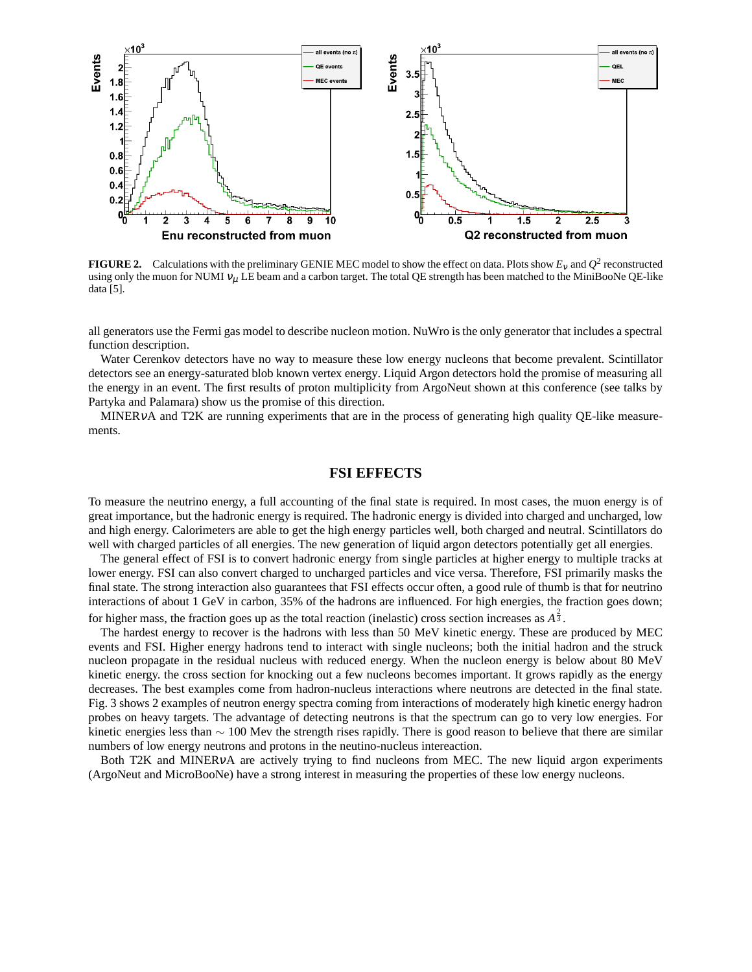

**FIGURE 2.** Calculations with the preliminary GENIE MEC model to show the effect on data. Plots show  $E_v$  and  $Q^2$  reconstructed using only the muon for NUMI  $v_\mu$  LE beam and a carbon target. The total QE strength has been matched to the MiniBooNe QE-like data [5].

all generators use the Fermi gas model to describe nucleon motion. NuWro is the only generator that includes a spectral function description.

Water Cerenkov detectors have no way to measure these low energy nucleons that become prevalent. Scintillator detectors see an energy-saturated blob known vertex energy. Liquid Argon detectors hold the promise of measuring all the energy in an event. The first results of proton multiplicity from ArgoNeut shown at this conference (see talks by Partyka and Palamara) show us the promise of this direction.

MINERVA and T2K are running experiments that are in the process of generating high quality QE-like measurements.

#### **FSI EFFECTS**

To measure the neutrino energy, a full accounting of the final state is required. In most cases, the muon energy is of great importance, but the hadronic energy is required. The hadronic energy is divided into charged and uncharged, low and high energy. Calorimeters are able to get the high energy particles well, both charged and neutral. Scintillators do well with charged particles of all energies. The new generation of liquid argon detectors potentially get all energies.

The general effect of FSI is to convert hadronic energy from single particles at higher energy to multiple tracks at lower energy. FSI can also convert charged to uncharged particles and vice versa. Therefore, FSI primarily masks the final state. The strong interaction also guarantees that FSI effects occur often, a good rule of thumb is that for neutrino interactions of about 1 GeV in carbon, 35% of the hadrons are influenced. For high energies, the fraction goes down; for higher mass, the fraction goes up as the total reaction (inelastic) cross section increases as  $A^{\frac{2}{3}}$ .

The hardest energy to recover is the hadrons with less than 50 MeV kinetic energy. These are produced by MEC events and FSI. Higher energy hadrons tend to interact with single nucleons; both the initial hadron and the struck nucleon propagate in the residual nucleus with reduced energy. When the nucleon energy is below about 80 MeV kinetic energy. the cross section for knocking out a few nucleons becomes important. It grows rapidly as the energy decreases. The best examples come from hadron-nucleus interactions where neutrons are detected in the final state. Fig. 3 shows 2 examples of neutron energy spectra coming from interactions of moderately high kinetic energy hadron probes on heavy targets. The advantage of detecting neutrons is that the spectrum can go to very low energies. For kinetic energies less than  $\sim 100$  Mev the strength rises rapidly. There is good reason to believe that there are similar numbers of low energy neutrons and protons in the neutino-nucleus intereaction.

Both T2K and MINERνA are actively trying to find nucleons from MEC. The new liquid argon experiments (ArgoNeut and MicroBooNe) have a strong interest in measuring the properties of these low energy nucleons.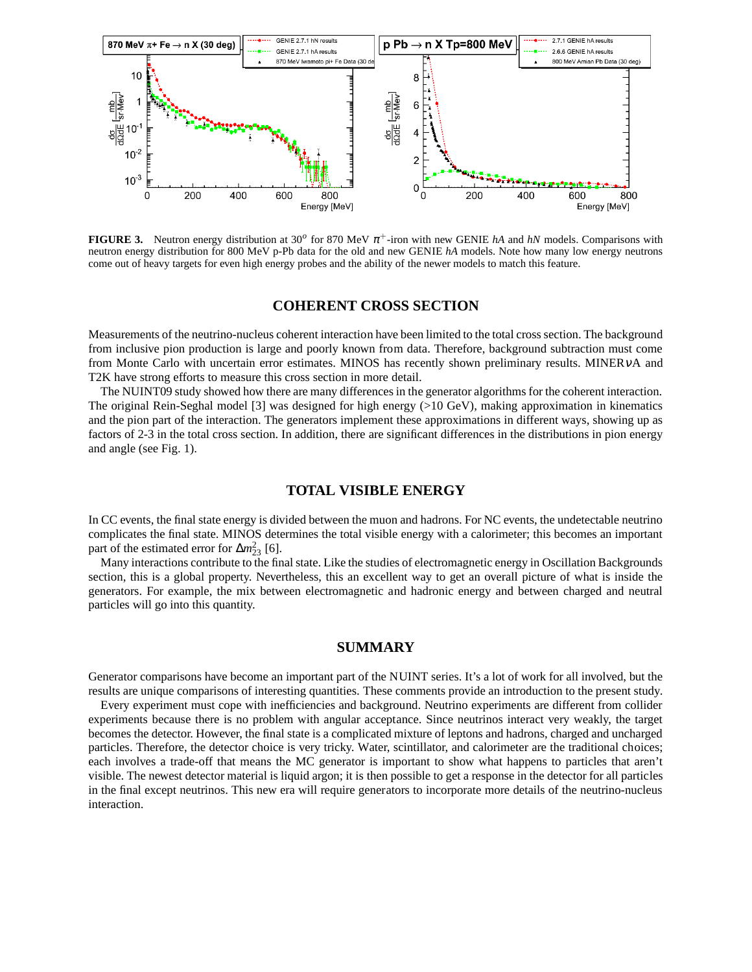

**FIGURE 3.** Neutron energy distribution at 30<sup>o</sup> for 870 MeV  $\pi$ <sup>+</sup>-iron with new GENIE *hA* and *hN* models. Comparisons with neutron energy distribution for 800 MeV p-Pb data for the old and new GENIE *hA* models. Note how many low energy neutrons come out of heavy targets for even high energy probes and the ability of the newer models to match this feature.

#### **COHERENT CROSS SECTION**

Measurements of the neutrino-nucleus coherent interaction have been limited to the total cross section. The background from inclusive pion production is large and poorly known from data. Therefore, background subtraction must come from Monte Carlo with uncertain error estimates. MINOS has recently shown preliminary results. MINERVA and T2K have strong efforts to measure this cross section in more detail.

The NUINT09 study showed how there are many differences in the generator algorithms for the coherent interaction. The original Rein-Seghal model [3] was designed for high energy (>10 GeV), making approximation in kinematics and the pion part of the interaction. The generators implement these approximations in different ways, showing up as factors of 2-3 in the total cross section. In addition, there are significant differences in the distributions in pion energy and angle (see Fig. 1).

#### **TOTAL VISIBLE ENERGY**

In CC events, the final state energy is divided between the muon and hadrons. For NC events, the undetectable neutrino complicates the final state. MINOS determines the total visible energy with a calorimeter; this becomes an important part of the estimated error for  $\Delta m^2_{23}$  [6].

Many interactions contribute to the final state. Like the studies of electromagnetic energy in Oscillation Backgrounds section, this is a global property. Nevertheless, this an excellent way to get an overall picture of what is inside the generators. For example, the mix between electromagnetic and hadronic energy and between charged and neutral particles will go into this quantity.

### **SUMMARY**

Generator comparisons have become an important part of the NUINT series. It's a lot of work for all involved, but the results are unique comparisons of interesting quantities. These comments provide an introduction to the present study.

Every experiment must cope with inefficiencies and background. Neutrino experiments are different from collider experiments because there is no problem with angular acceptance. Since neutrinos interact very weakly, the target becomes the detector. However, the final state is a complicated mixture of leptons and hadrons, charged and uncharged particles. Therefore, the detector choice is very tricky. Water, scintillator, and calorimeter are the traditional choices; each involves a trade-off that means the MC generator is important to show what happens to particles that aren't visible. The newest detector material is liquid argon; it is then possible to get a response in the detector for all particles in the final except neutrinos. This new era will require generators to incorporate more details of the neutrino-nucleus interaction.